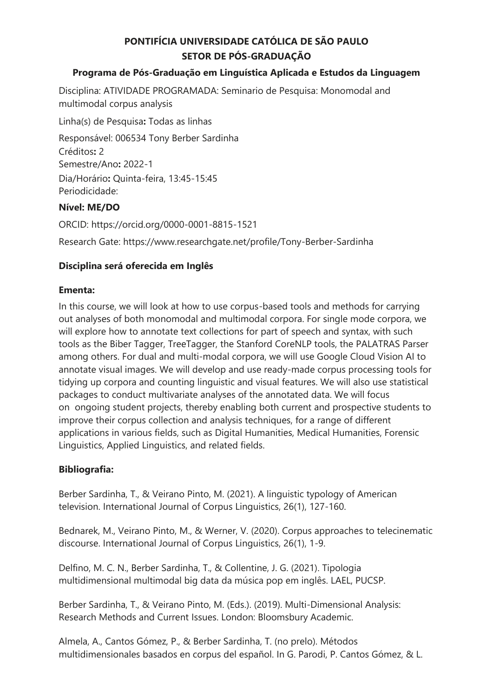# **PONTIFÍCIA UNIVERSIDADE CATÓLICA DE SÃO PAULO SETOR DE PÓS-GRADUAÇÃO**

#### **Programa de Pós-Graduação em Linguística Aplicada e Estudos da Linguagem**

Disciplina: ATIVIDADE PROGRAMADA: Seminario de Pesquisa: Monomodal and multimodal corpus analysis

Linha(s) de Pesquisa**:** Todas as linhas

Responsável: 006534 Tony Berber Sardinha Créditos**:** 2 Semestre/Ano**:** 2022-1 Dia/Horário**:** Quinta-feira, 13:45-15:45 Periodicidade:

## **Nível: ME/DO**

ORCID: https://orcid.org/0000-0001-8815-1521 Research Gate: https://www.researchgate.net/profile/Tony-Berber-Sardinha

## **Disciplina será oferecida em Inglês**

#### **Ementa:**

In this course, we will look at how to use corpus-based tools and methods for carrying out analyses of both monomodal and multimodal corpora. For single mode corpora, we will explore how to annotate text collections for part of speech and syntax, with such tools as the Biber Tagger, TreeTagger, the Stanford CoreNLP tools, the PALATRAS Parser among others. For dual and multi-modal corpora, we will use Google Cloud Vision AI to annotate visual images. We will develop and use ready-made corpus processing tools for tidying up corpora and counting linguistic and visual features. We will also use statistical packages to conduct multivariate analyses of the annotated data. We will focus on ongoing student projects, thereby enabling both current and prospective students to improve their corpus collection and analysis techniques, for a range of different applications in various fields, such as Digital Humanities, Medical Humanities, Forensic Linguistics, Applied Linguistics, and related fields.

## **Bibliografia:**

Berber Sardinha, T., & Veirano Pinto, M. (2021). A linguistic typology of American television. International Journal of Corpus Linguistics, 26(1), 127-160.

Bednarek, M., Veirano Pinto, M., & Werner, V. (2020). Corpus approaches to telecinematic discourse. International Journal of Corpus Linguistics, 26(1), 1-9.

Delfino, M. C. N., Berber Sardinha, T., & Collentine, J. G. (2021). Tipologia multidimensional multimodal big data da música pop em inglês. LAEL, PUCSP.

Berber Sardinha, T., & Veirano Pinto, M. (Eds.). (2019). Multi-Dimensional Analysis: Research Methods and Current Issues. London: Bloomsbury Academic.

Almela, A., Cantos Gómez, P., & Berber Sardinha, T. (no prelo). Métodos multidimensionales basados en corpus del español. In G. Parodi, P. Cantos Gómez, & L.